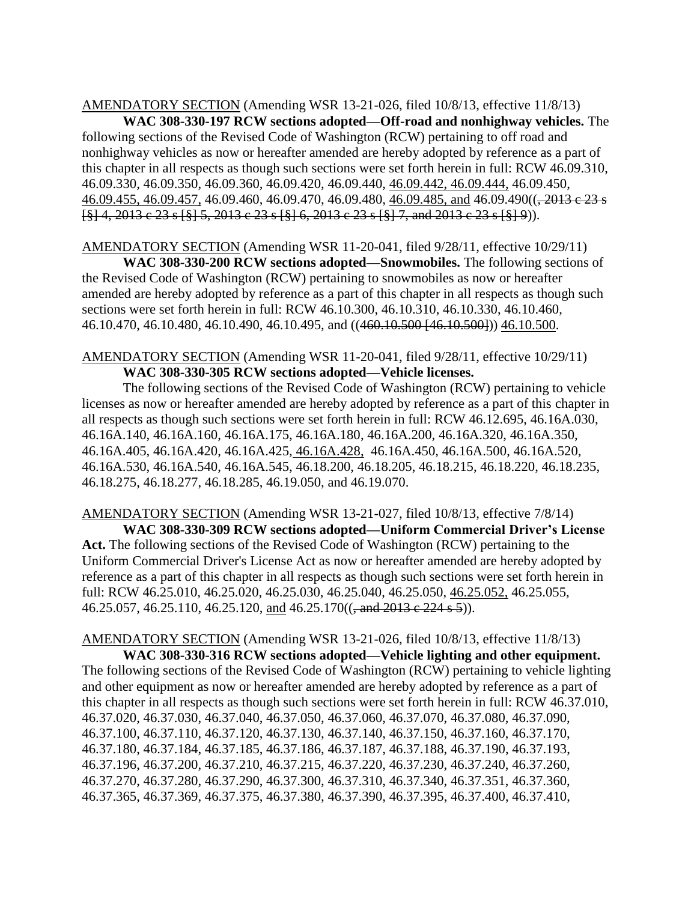AMENDATORY SECTION (Amending WSR 13-21-026, filed 10/8/13, effective 11/8/13)

**WAC 308-330-197 RCW sections adopted—Off-road and nonhighway vehicles.** The following sections of the Revised Code of Washington (RCW) pertaining to off road and nonhighway vehicles as now or hereafter amended are hereby adopted by reference as a part of this chapter in all respects as though such sections were set forth herein in full: RCW 46.09.310, 46.09.330, 46.09.350, 46.09.360, 46.09.420, 46.09.440, 46.09.442, 46.09.444, 46.09.450, 46.09.455, 46.09.457, 46.09.460, 46.09.470, 46.09.480, 46.09.485, and 46.09.490(( $\frac{1}{2013}$  e 23 s [§] 4, 2013 c 23 s [§] 5, 2013 c 23 s [§] 6, 2013 c 23 s [§] 7, and 2013 c 23 s [§] 9)).

AMENDATORY SECTION (Amending WSR 11-20-041, filed 9/28/11, effective 10/29/11) **WAC 308-330-200 RCW sections adopted—Snowmobiles.** The following sections of the Revised Code of Washington (RCW) pertaining to snowmobiles as now or hereafter amended are hereby adopted by reference as a part of this chapter in all respects as though such sections were set forth herein in full: RCW 46.10.300, 46.10.310, 46.10.330, 46.10.460, 46.10.470, 46.10.480, 46.10.490, 46.10.495, and ((460.10.500 [46.10.500])) 46.10.500.

AMENDATORY SECTION (Amending WSR 11-20-041, filed 9/28/11, effective 10/29/11) **WAC 308-330-305 RCW sections adopted—Vehicle licenses.**

The following sections of the Revised Code of Washington (RCW) pertaining to vehicle licenses as now or hereafter amended are hereby adopted by reference as a part of this chapter in all respects as though such sections were set forth herein in full: RCW 46.12.695, 46.16A.030, 46.16A.140, 46.16A.160, 46.16A.175, 46.16A.180, 46.16A.200, 46.16A.320, 46.16A.350, 46.16A.405, 46.16A.420, 46.16A.425, 46.16A.428, 46.16A.450, 46.16A.500, 46.16A.520, 46.16A.530, 46.16A.540, 46.16A.545, 46.18.200, 46.18.205, 46.18.215, 46.18.220, 46.18.235, 46.18.275, 46.18.277, 46.18.285, 46.19.050, and 46.19.070.

AMENDATORY SECTION (Amending WSR 13-21-027, filed 10/8/13, effective 7/8/14) **WAC 308-330-309 RCW sections adopted—Uniform Commercial Driver's License Act.** The following sections of the Revised Code of Washington (RCW) pertaining to the Uniform Commercial Driver's License Act as now or hereafter amended are hereby adopted by reference as a part of this chapter in all respects as though such sections were set forth herein in full: RCW [46.25.010,](http://app.leg.wa.gov/RCW/default.aspx?cite=46.25.010) 46.25.020, 46.25.030, 46.25.040, 46.25.050, 46.25.052, 46.25.055, 46.25.057, 46.25.110, 46.25.120, and 46.25.170( $\left($ , and 2013 c 224 s 5)).

AMENDATORY SECTION (Amending WSR 13-21-026, filed 10/8/13, effective 11/8/13)

**WAC 308-330-316 RCW sections adopted—Vehicle lighting and other equipment.** The following sections of the Revised Code of Washington (RCW) pertaining to vehicle lighting and other equipment as now or hereafter amended are hereby adopted by reference as a part of this chapter in all respects as though such sections were set forth herein in full: RCW 46.37.010, 46.37.020, 46.37.030, 46.37.040, 46.37.050, 46.37.060, 46.37.070, 46.37.080, 46.37.090, 46.37.100, 46.37.110, 46.37.120, 46.37.130, 46.37.140, 46.37.150, 46.37.160, 46.37.170, 46.37.180, 46.37.184, 46.37.185, 46.37.186, 46.37.187, 46.37.188, 46.37.190, 46.37.193, 46.37.196, 46.37.200, 46.37.210, 46.37.215, 46.37.220, 46.37.230, 46.37.240, 46.37.260, 46.37.270, 46.37.280, 46.37.290, 46.37.300, 46.37.310, 46.37.340, 46.37.351, 46.37.360, 46.37.365, 46.37.369, 46.37.375, 46.37.380, 46.37.390, 46.37.395, 46.37.400, 46.37.410,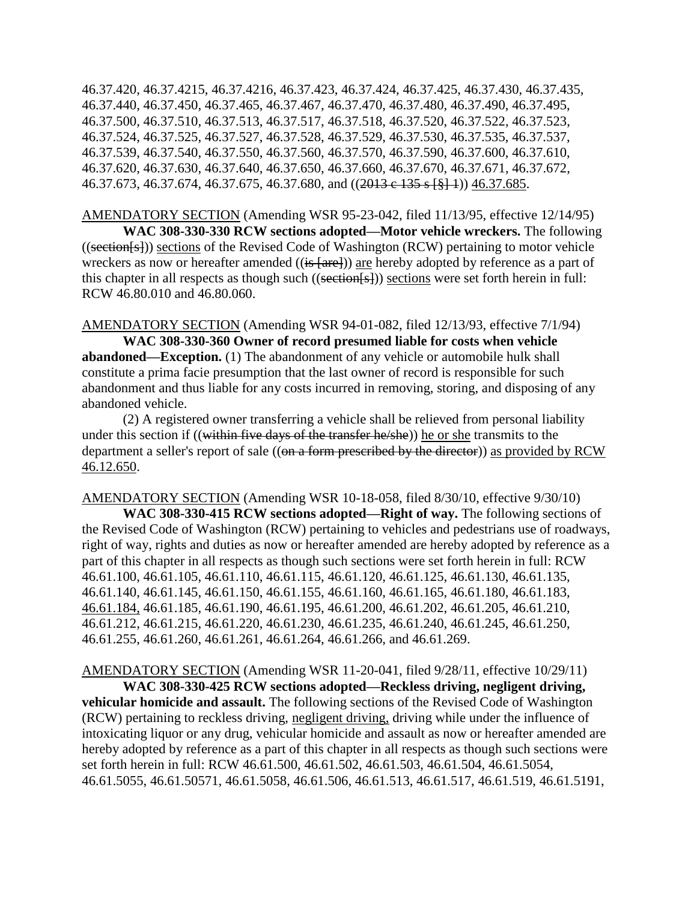46.37.420, 46.37.4215, 46.37.4216, 46.37.423, 46.37.424, 46.37.425, 46.37.430, 46.37.435, 46.37.440, 46.37.450, 46.37.465, 46.37.467, 46.37.470, 46.37.480, 46.37.490, 46.37.495, 46.37.500, 46.37.510, 46.37.513, 46.37.517, 46.37.518, 46.37.520, 46.37.522, 46.37.523, 46.37.524, 46.37.525, 46.37.527, 46.37.528, 46.37.529, 46.37.530, 46.37.535, 46.37.537, 46.37.539, 46.37.540, 46.37.550, 46.37.560, 46.37.570, 46.37.590, 46.37.600, 46.37.610, 46.37.620, 46.37.630, 46.37.640, 46.37.650, 46.37.660, 46.37.670, 46.37.671, 46.37.672, 46.37.673, 46.37.674, 46.37.675, 46.37.680, and ((2013 e 135 s [§] 1)) 46.37.685.

AMENDATORY SECTION (Amending WSR 95-23-042, filed 11/13/95, effective 12/14/95) **WAC 308-330-330 RCW sections adopted—Motor vehicle wreckers.** The following ((section[s])) sections of the Revised Code of Washington (RCW) pertaining to motor vehicle wreckers as now or hereafter amended  $((is$  [are])) are hereby adopted by reference as a part of this chapter in all respects as though such ((section  $\{s\}$ )) sections were set forth herein in full: RCW 46.80.010 and 46.80.060.

AMENDATORY SECTION (Amending WSR 94-01-082, filed 12/13/93, effective 7/1/94)

**WAC 308-330-360 Owner of record presumed liable for costs when vehicle abandoned—Exception.** (1) The abandonment of any vehicle or automobile hulk shall constitute a prima facie presumption that the last owner of record is responsible for such abandonment and thus liable for any costs incurred in removing, storing, and disposing of any abandoned vehicle.

(2) A registered owner transferring a vehicle shall be relieved from personal liability under this section if ((within five days of the transfer he/she)) he or she transmits to the department a seller's report of sale ((on a form prescribed by the director)) as provided by RCW 46.12.650.

AMENDATORY SECTION (Amending WSR 10-18-058, filed 8/30/10, effective 9/30/10)

**WAC 308-330-415 RCW sections adopted—Right of way.** The following sections of the Revised Code of Washington (RCW) pertaining to vehicles and pedestrians use of roadways, right of way, rights and duties as now or hereafter amended are hereby adopted by reference as a part of this chapter in all respects as though such sections were set forth herein in full: RCW 46.61.100, 46.61.105, 46.61.110, 46.61.115, 46.61.120, 46.61.125, 46.61.130, 46.61.135, 46.61.140, 46.61.145, 46.61.150, 46.61.155, 46.61.160, 46.61.165, 46.61.180, 46.61.183, 46.61.184, 46.61.185, 46.61.190, 46.61.195, 46.61.200, 46.61.202, 46.61.205, 46.61.210, 46.61.212, 46.61.215, 46.61.220, 46.61.230, 46.61.235, 46.61.240, 46.61.245, 46.61.250, 46.61.255, 46.61.260, 46.61.261, 46.61.264, 46.61.266, and 46.61.269.

AMENDATORY SECTION (Amending WSR 11-20-041, filed 9/28/11, effective 10/29/11)

**WAC 308-330-425 RCW sections adopted—Reckless driving, negligent driving, vehicular homicide and assault.** The following sections of the Revised Code of Washington (RCW) pertaining to reckless driving, negligent driving, driving while under the influence of intoxicating liquor or any drug, vehicular homicide and assault as now or hereafter amended are hereby adopted by reference as a part of this chapter in all respects as though such sections were set forth herein in full: RCW 46.61.500, 46.61.502, 46.61.503, 46.61.504, 46.61.5054, 46.61.5055, 46.61.50571, 46.61.5058, 46.61.506, 46.61.513, 46.61.517, 46.61.519, 46.61.5191,